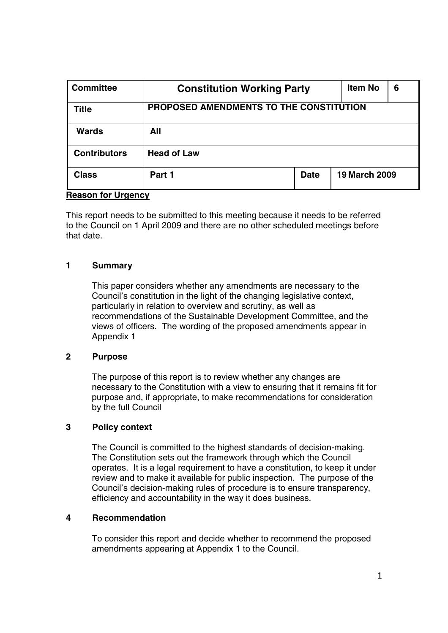| <b>Committee</b>    | <b>Constitution Working Party</b>       |             | <b>Item No</b>       | 6 |
|---------------------|-----------------------------------------|-------------|----------------------|---|
| <b>Title</b>        | PROPOSED AMENDMENTS TO THE CONSTITUTION |             |                      |   |
| <b>Wards</b>        | All                                     |             |                      |   |
| <b>Contributors</b> | <b>Head of Law</b>                      |             |                      |   |
| <b>Class</b>        | Part 1                                  | <b>Date</b> | <b>19 March 2009</b> |   |

#### **Reason for Urgency**

This report needs to be submitted to this meeting because it needs to be referred to the Council on 1 April 2009 and there are no other scheduled meetings before that date.

#### **1 Summary**

This paper considers whether any amendments are necessary to the Council's constitution in the light of the changing legislative context, particularly in relation to overview and scrutiny, as well as recommendations of the Sustainable Development Committee, and the views of officers. The wording of the proposed amendments appear in Appendix 1

#### **2 Purpose**

The purpose of this report is to review whether any changes are necessary to the Constitution with a view to ensuring that it remains fit for purpose and, if appropriate, to make recommendations for consideration by the full Council

#### **3 Policy context**

The Council is committed to the highest standards of decision-making. The Constitution sets out the framework through which the Council operates. It is a legal requirement to have a constitution, to keep it under review and to make it available for public inspection. The purpose of the Council's decision-making rules of procedure is to ensure transparency, efficiency and accountability in the way it does business.

#### **4 Recommendation**

To consider this report and decide whether to recommend the proposed amendments appearing at Appendix 1 to the Council.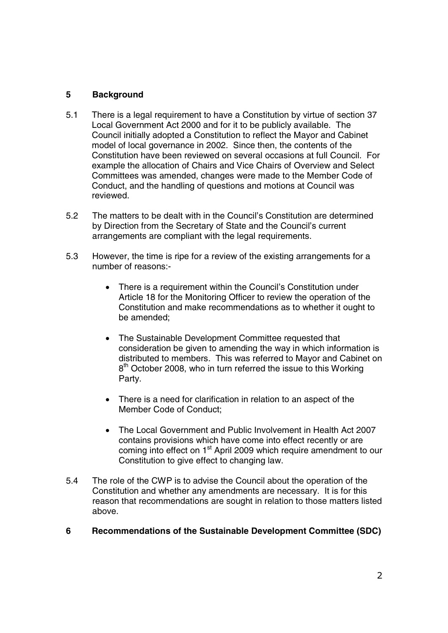## **5 Background**

- 5.1 There is a legal requirement to have a Constitution by virtue of section 37 Local Government Act 2000 and for it to be publicly available. The Council initially adopted a Constitution to reflect the Mayor and Cabinet model of local governance in 2002. Since then, the contents of the Constitution have been reviewed on several occasions at full Council. For example the allocation of Chairs and Vice Chairs of Overview and Select Committees was amended, changes were made to the Member Code of Conduct, and the handling of questions and motions at Council was reviewed.
- 5.2 The matters to be dealt with in the Council's Constitution are determined by Direction from the Secretary of State and the Council's current arrangements are compliant with the legal requirements.
- 5.3 However, the time is ripe for a review of the existing arrangements for a number of reasons:-
	- There is a requirement within the Council's Constitution under Article 18 for the Monitoring Officer to review the operation of the Constitution and make recommendations as to whether it ought to be amended;
	- The Sustainable Development Committee requested that consideration be given to amending the way in which information is distributed to members. This was referred to Mayor and Cabinet on 8<sup>th</sup> October 2008, who in turn referred the issue to this Working Party.
	- There is a need for clarification in relation to an aspect of the Member Code of Conduct;
	- The Local Government and Public Involvement in Health Act 2007 contains provisions which have come into effect recently or are coming into effect on 1<sup>st</sup> April 2009 which require amendment to our Constitution to give effect to changing law.
- 5.4 The role of the CWP is to advise the Council about the operation of the Constitution and whether any amendments are necessary. It is for this reason that recommendations are sought in relation to those matters listed above.
- **6 Recommendations of the Sustainable Development Committee (SDC)**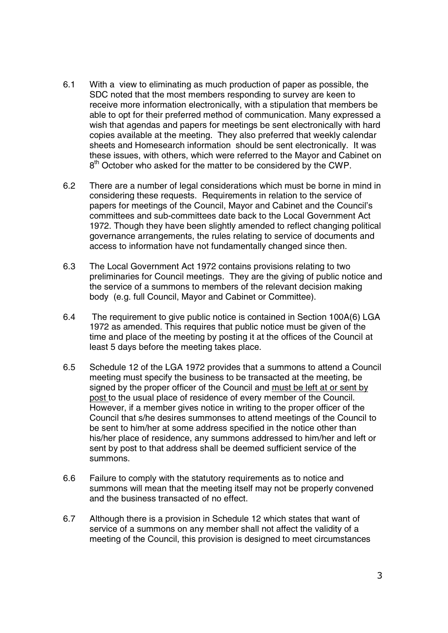- 6.1 With a view to eliminating as much production of paper as possible, the SDC noted that the most members responding to survey are keen to receive more information electronically, with a stipulation that members be able to opt for their preferred method of communication. Many expressed a wish that agendas and papers for meetings be sent electronically with hard copies available at the meeting. They also preferred that weekly calendar sheets and Homesearch information should be sent electronically. It was these issues, with others, which were referred to the Mayor and Cabinet on  $8<sup>th</sup>$  October who asked for the matter to be considered by the CWP.
- 6.2 There are a number of legal considerations which must be borne in mind in considering these requests. Requirements in relation to the service of papers for meetings of the Council, Mayor and Cabinet and the Council's committees and sub-committees date back to the Local Government Act 1972. Though they have been slightly amended to reflect changing political governance arrangements, the rules relating to service of documents and access to information have not fundamentally changed since then.
- 6.3 The Local Government Act 1972 contains provisions relating to two preliminaries for Council meetings. They are the giving of public notice and the service of a summons to members of the relevant decision making body (e.g. full Council, Mayor and Cabinet or Committee).
- 6.4 The requirement to give public notice is contained in Section 100A(6) LGA 1972 as amended. This requires that public notice must be given of the time and place of the meeting by posting it at the offices of the Council at least 5 days before the meeting takes place.
- 6.5 Schedule 12 of the LGA 1972 provides that a summons to attend a Council meeting must specify the business to be transacted at the meeting, be signed by the proper officer of the Council and must be left at or sent by post to the usual place of residence of every member of the Council. However, if a member gives notice in writing to the proper officer of the Council that s/he desires summonses to attend meetings of the Council to be sent to him/her at some address specified in the notice other than his/her place of residence, any summons addressed to him/her and left or sent by post to that address shall be deemed sufficient service of the summons.
- 6.6 Failure to comply with the statutory requirements as to notice and summons will mean that the meeting itself may not be properly convened and the business transacted of no effect.
- 6.7 Although there is a provision in Schedule 12 which states that want of service of a summons on any member shall not affect the validity of a meeting of the Council, this provision is designed to meet circumstances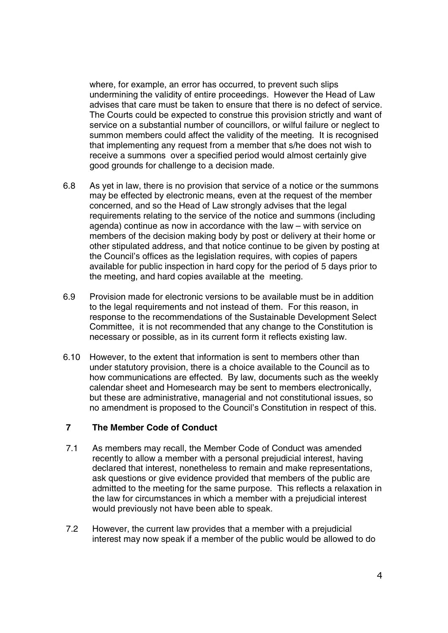where, for example, an error has occurred, to prevent such slips undermining the validity of entire proceedings. However the Head of Law advises that care must be taken to ensure that there is no defect of service. The Courts could be expected to construe this provision strictly and want of service on a substantial number of councillors, or wilful failure or neglect to summon members could affect the validity of the meeting. It is recognised that implementing any request from a member that s/he does not wish to receive a summons over a specified period would almost certainly give good grounds for challenge to a decision made.

- 6.8 As yet in law, there is no provision that service of a notice or the summons may be effected by electronic means, even at the request of the member concerned, and so the Head of Law strongly advises that the legal requirements relating to the service of the notice and summons (including agenda) continue as now in accordance with the law – with service on members of the decision making body by post or delivery at their home or other stipulated address, and that notice continue to be given by posting at the Council's offices as the legislation requires, with copies of papers available for public inspection in hard copy for the period of 5 days prior to the meeting, and hard copies available at the meeting.
- 6.9 Provision made for electronic versions to be available must be in addition to the legal requirements and not instead of them. For this reason, in response to the recommendations of the Sustainable Development Select Committee, it is not recommended that any change to the Constitution is necessary or possible, as in its current form it reflects existing law.
- 6.10 However, to the extent that information is sent to members other than under statutory provision, there is a choice available to the Council as to how communications are effected. By law, documents such as the weekly calendar sheet and Homesearch may be sent to members electronically, but these are administrative, managerial and not constitutional issues, so no amendment is proposed to the Council's Constitution in respect of this.

#### **7 The Member Code of Conduct**

- 7.1 As members may recall, the Member Code of Conduct was amended recently to allow a member with a personal prejudicial interest, having declared that interest, nonetheless to remain and make representations, ask questions or give evidence provided that members of the public are admitted to the meeting for the same purpose. This reflects a relaxation in the law for circumstances in which a member with a prejudicial interest would previously not have been able to speak.
- 7.2 However, the current law provides that a member with a prejudicial interest may now speak if a member of the public would be allowed to do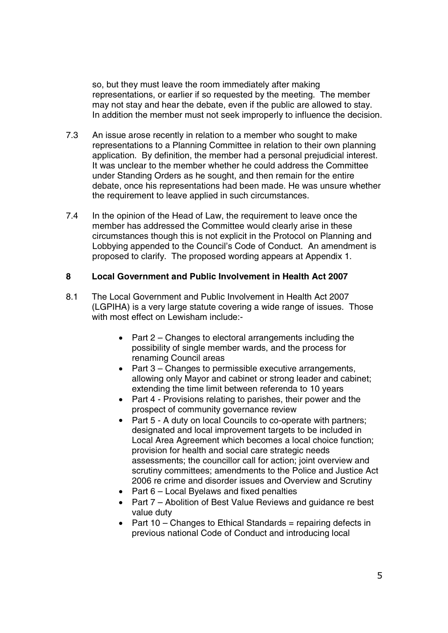so, but they must leave the room immediately after making representations, or earlier if so requested by the meeting. The member may not stay and hear the debate, even if the public are allowed to stay. In addition the member must not seek improperly to influence the decision.

- 7.3 An issue arose recently in relation to a member who sought to make representations to a Planning Committee in relation to their own planning application. By definition, the member had a personal prejudicial interest. It was unclear to the member whether he could address the Committee under Standing Orders as he sought, and then remain for the entire debate, once his representations had been made. He was unsure whether the requirement to leave applied in such circumstances.
- 7.4 In the opinion of the Head of Law, the requirement to leave once the member has addressed the Committee would clearly arise in these circumstances though this is not explicit in the Protocol on Planning and Lobbying appended to the Council's Code of Conduct. An amendment is proposed to clarify. The proposed wording appears at Appendix 1.

#### **8 Local Government and Public Involvement in Health Act 2007**

- 8.1 The Local Government and Public Involvement in Health Act 2007 (LGPIHA) is a very large statute covering a wide range of issues. Those with most effect on Lewisham include:-
	- Part 2 Changes to electoral arrangements including the possibility of single member wards, and the process for renaming Council areas
	- Part 3 Changes to permissible executive arrangements, allowing only Mayor and cabinet or strong leader and cabinet; extending the time limit between referenda to 10 years
	- Part 4 Provisions relating to parishes, their power and the prospect of community governance review
	- Part 5 A duty on local Councils to co-operate with partners; designated and local improvement targets to be included in Local Area Agreement which becomes a local choice function; provision for health and social care strategic needs assessments; the councillor call for action; joint overview and scrutiny committees; amendments to the Police and Justice Act 2006 re crime and disorder issues and Overview and Scrutiny
	- Part 6 Local Byelaws and fixed penalties
	- Part 7 Abolition of Best Value Reviews and guidance re best value duty
	- Part  $10$  Changes to Ethical Standards = repairing defects in previous national Code of Conduct and introducing local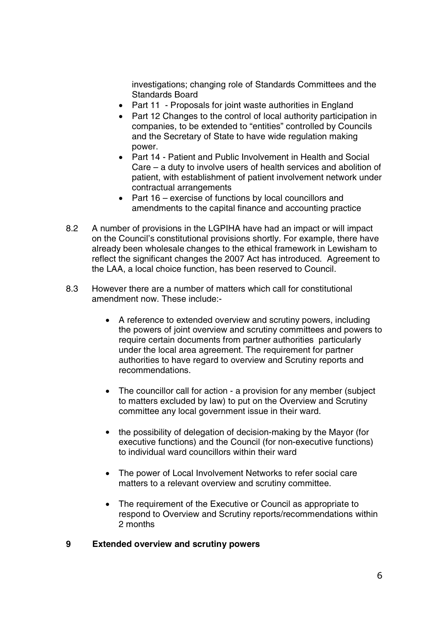investigations; changing role of Standards Committees and the Standards Board

- Part 11 Proposals for joint waste authorities in England
- Part 12 Changes to the control of local authority participation in companies, to be extended to "entities" controlled by Councils and the Secretary of State to have wide regulation making power.
- Part 14 Patient and Public Involvement in Health and Social Care – a duty to involve users of health services and abolition of patient, with establishment of patient involvement network under contractual arrangements
- Part 16 exercise of functions by local councillors and amendments to the capital finance and accounting practice
- 8.2 A number of provisions in the LGPIHA have had an impact or will impact on the Council's constitutional provisions shortly. For example, there have already been wholesale changes to the ethical framework in Lewisham to reflect the significant changes the 2007 Act has introduced. Agreement to the LAA, a local choice function, has been reserved to Council.
- 8.3 However there are a number of matters which call for constitutional amendment now. These include:-
	- A reference to extended overview and scrutiny powers, including the powers of joint overview and scrutiny committees and powers to require certain documents from partner authorities particularly under the local area agreement. The requirement for partner authorities to have regard to overview and Scrutiny reports and recommendations.
	- The councillor call for action a provision for any member (subject) to matters excluded by law) to put on the Overview and Scrutiny committee any local government issue in their ward.
	- the possibility of delegation of decision-making by the Mayor (for executive functions) and the Council (for non-executive functions) to individual ward councillors within their ward
	- The power of Local Involvement Networks to refer social care matters to a relevant overview and scrutiny committee.
	- The requirement of the Executive or Council as appropriate to respond to Overview and Scrutiny reports/recommendations within 2 months

#### **9 Extended overview and scrutiny powers**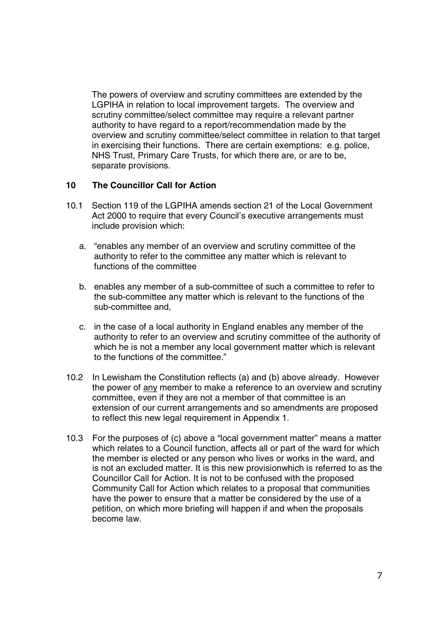The powers of overview and scrutiny committees are extended by the LGPIHA in relation to local improvement targets. The overview and scrutiny committee/select committee may require a relevant partner authority to have regard to a report/recommendation made by the overview and scrutiny committee/select committee in relation to that target in exercising their functions. There are certain exemptions: e.g. police, NHS Trust, Primary Care Trusts, for which there are, or are to be, separate provisions.

#### **10 The Councillor Call for Action**

- 10.1 Section 119 of the LGPIHA amends section 21 of the Local Government Act 2000 to require that every Council's executive arrangements must include provision which:
	- a. "enables any member of an overview and scrutiny committee of the authority to refer to the committee any matter which is relevant to functions of the committee
	- b. enables any member of a sub-committee of such a committee to refer to the sub-committee any matter which is relevant to the functions of the sub-committee and,
	- c. in the case of a local authority in England enables any member of the authority to refer to an overview and scrutiny committee of the authority of which he is not a member any local government matter which is relevant to the functions of the committee."
- 10.2 In Lewisham the Constitution reflects (a) and (b) above already. However the power of any member to make a reference to an overview and scrutiny committee, even if they are not a member of that committee is an extension of our current arrangements and so amendments are proposed to reflect this new legal requirement in Appendix 1.
- 10.3 For the purposes of (c) above a "local government matter" means a matter which relates to a Council function, affects all or part of the ward for which the member is elected or any person who lives or works in the ward, and is not an excluded matter. It is this new provisionwhich is referred to as the Councillor Call for Action. It is not to be confused with the proposed Community Call for Action which relates to a proposal that communities have the power to ensure that a matter be considered by the use of a petition, on which more briefing will happen if and when the proposals become law.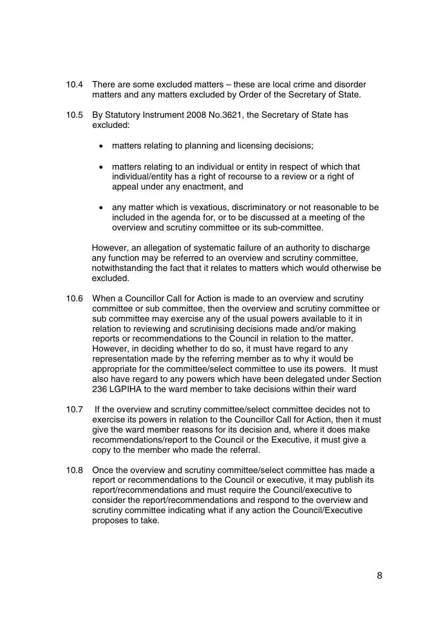- 10.4 There are some excluded matters these are local crime and disorder matters and any matters excluded by Order of the Secretary of State.
- 10.5 By Statutory Instrument 2008 No.3621, the Secretary of State has excluded:
	- matters relating to planning and licensing decisions;
	- matters relating to an individual or entity in respect of which that individual/entity has a right of recourse to a review or a right of appeal under any enactment, and
	- any matter which is vexatious, discriminatory or not reasonable to be included in the agenda for, or to be discussed at a meeting of the overview and scrutiny committee or its sub-committee.

However, an allegation of systematic failure of an authority to discharge any function may be referred to an overview and scrutiny committee, notwithstanding the fact that it relates to matters which would otherwise be excluded.

- 10.6 When a Councillor Call for Action is made to an overview and scrutiny committee or sub committee, then the overview and scrutiny committee or sub committee may exercise any of the usual powers available to it in relation to reviewing and scrutinising decisions made and/or making reports or recommendations to the Council in relation to the matter. However, in deciding whether to do so, it must have regard to any representation made by the referring member as to why it would be appropriate for the committee/select committee to use its powers. It must also have regard to any powers which have been delegated under Section 236 LGPIHA to the ward member to take decisions within their ward
- 10.7 If the overview and scrutiny committee/select committee decides not to exercise its powers in relation to the Councillor Call for Action, then it must give the ward member reasons for its decision and, where it does make recommendations/report to the Council or the Executive, it must give a copy to the member who made the referral.
- 10.8 Once the overview and scrutiny committee/select committee has made a report or recommendations to the Council or executive, it may publish its report/recommendations and must require the Council/executive to consider the report/recommendations and respond to the overview and scrutiny committee indicating what if any action the Council/Executive proposes to take.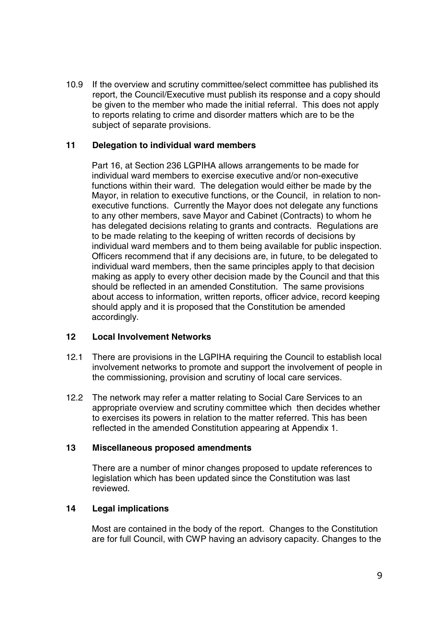10.9 If the overview and scrutiny committee/select committee has published its report, the Council/Executive must publish its response and a copy should be given to the member who made the initial referral. This does not apply to reports relating to crime and disorder matters which are to be the subject of separate provisions.

### **11 Delegation to individual ward members**

Part 16, at Section 236 LGPIHA allows arrangements to be made for individual ward members to exercise executive and/or non-executive functions within their ward. The delegation would either be made by the Mayor, in relation to executive functions, or the Council, in relation to nonexecutive functions. Currently the Mayor does not delegate any functions to any other members, save Mayor and Cabinet (Contracts) to whom he has delegated decisions relating to grants and contracts. Regulations are to be made relating to the keeping of written records of decisions by individual ward members and to them being available for public inspection. Officers recommend that if any decisions are, in future, to be delegated to individual ward members, then the same principles apply to that decision making as apply to every other decision made by the Council and that this should be reflected in an amended Constitution. The same provisions about access to information, written reports, officer advice, record keeping should apply and it is proposed that the Constitution be amended accordingly.

#### **12 Local Involvement Networks**

- 12.1 There are provisions in the LGPIHA requiring the Council to establish local involvement networks to promote and support the involvement of people in the commissioning, provision and scrutiny of local care services.
- 12.2 The network may refer a matter relating to Social Care Services to an appropriate overview and scrutiny committee which then decides whether to exercises its powers in relation to the matter referred. This has been reflected in the amended Constitution appearing at Appendix 1.

#### **13 Miscellaneous proposed amendments**

There are a number of minor changes proposed to update references to legislation which has been updated since the Constitution was last reviewed.

#### **14 Legal implications**

Most are contained in the body of the report. Changes to the Constitution are for full Council, with CWP having an advisory capacity. Changes to the